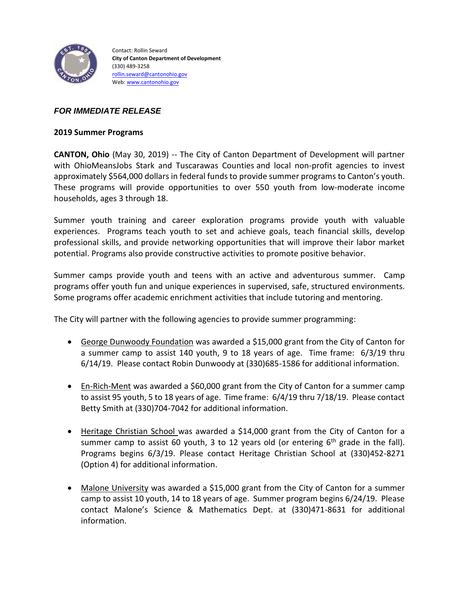

Contact: Rollin Seward **City of Canton Department of Development** (330) 489-3258 [rollin.seward@cantonohio.gov](mailto:rollin.seward@cantonohio.gov) Web[: www.cantonohio.gov](http://www.cantonohio.gov/)

## *FOR IMMEDIATE RELEASE*

## **2019 Summer Programs**

**CANTON, Ohio** (May 30, 2019) -- The City of Canton Department of Development will partner with OhioMeansJobs Stark and Tuscarawas Counties and local non-profit agencies to invest approximately \$564,000 dollars in federal funds to provide summer programs to Canton's youth. These programs will provide opportunities to over 550 youth from low-moderate income households, ages 3 through 18.

Summer youth training and career exploration programs provide youth with valuable experiences. Programs teach youth to set and achieve goals, teach financial skills, develop professional skills, and provide networking opportunities that will improve their labor market potential. Programs also provide constructive activities to promote positive behavior.

Summer camps provide youth and teens with an active and adventurous summer. Camp programs offer youth fun and unique experiences in supervised, safe, structured environments. Some programs offer academic enrichment activities that include tutoring and mentoring.

The City will partner with the following agencies to provide summer programming:

- George Dunwoody Foundation was awarded a \$15,000 grant from the City of Canton for a summer camp to assist 140 youth, 9 to 18 years of age. Time frame: 6/3/19 thru 6/14/19. Please contact Robin Dunwoody at (330)685-1586 for additional information.
- **E**n-Rich-Ment was awarded a \$60,000 grant from the City of Canton for a summer camp to assist 95 youth, 5 to 18 years of age. Time frame: 6/4/19 thru 7/18/19. Please contact Betty Smith at (330)704-7042 for additional information.
- Heritage Christian School was awarded a \$14,000 grant from the City of Canton for a summer camp to assist 60 youth, 3 to 12 years old (or entering  $6<sup>th</sup>$  grade in the fall). Programs begins 6/3/19. Please contact Heritage Christian School at (330)452-8271 (Option 4) for additional information.
- Malone University was awarded a \$15,000 grant from the City of Canton for a summer camp to assist 10 youth, 14 to 18 years of age. Summer program begins 6/24/19. Please contact Malone's Science & Mathematics Dept. at (330)471-8631 for additional information.